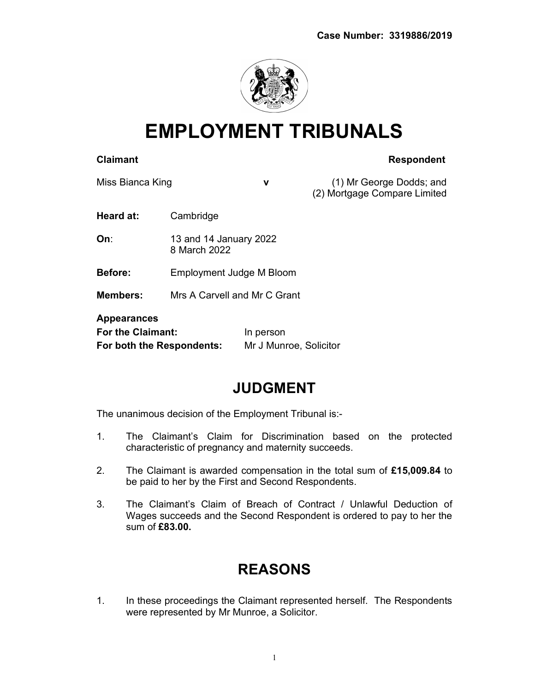

EMPLOYMENT TRIBUNALS

#### Claimant **Claimant** Respondent

Miss Bianca King **v v** (1) Mr George Dodds; and (2) Mortgage Compare Limited

Heard at: Cambridge

**On:** 13 and 14 January 2022 8 March 2022

Before: Employment Judge M Bloom

Members: Mrs A Carvell and Mr C Grant

# Appearances

For the Claimant: In person For both the Respondents: Mr J Munroe, Solicitor

## JUDGMENT

The unanimous decision of the Employment Tribunal is:-

- 1. The Claimant's Claim for Discrimination based on the protected characteristic of pregnancy and maternity succeeds.
- 2. The Claimant is awarded compensation in the total sum of £15,009.84 to be paid to her by the First and Second Respondents.
- 3. The Claimant's Claim of Breach of Contract / Unlawful Deduction of Wages succeeds and the Second Respondent is ordered to pay to her the sum of £83.00.

## REASONS

1. In these proceedings the Claimant represented herself. The Respondents were represented by Mr Munroe, a Solicitor.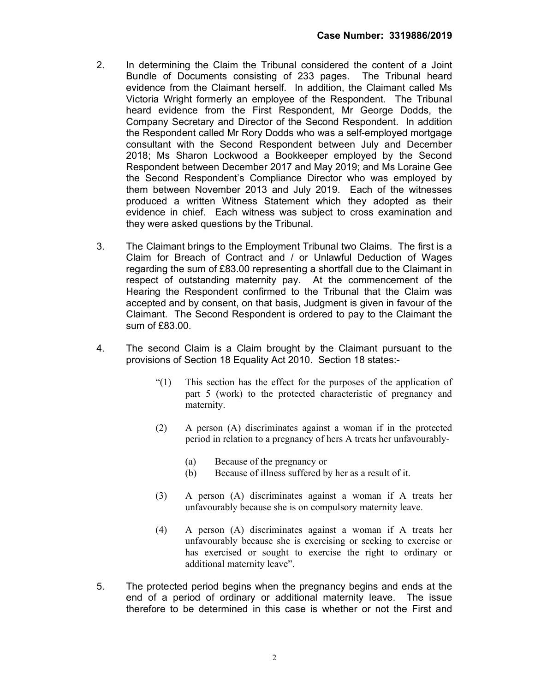- 2. In determining the Claim the Tribunal considered the content of a Joint Bundle of Documents consisting of 233 pages. The Tribunal heard evidence from the Claimant herself. In addition, the Claimant called Ms Victoria Wright formerly an employee of the Respondent. The Tribunal heard evidence from the First Respondent, Mr George Dodds, the Company Secretary and Director of the Second Respondent. In addition the Respondent called Mr Rory Dodds who was a self-employed mortgage consultant with the Second Respondent between July and December 2018; Ms Sharon Lockwood a Bookkeeper employed by the Second Respondent between December 2017 and May 2019; and Ms Loraine Gee the Second Respondent's Compliance Director who was employed by them between November 2013 and July 2019. Each of the witnesses produced a written Witness Statement which they adopted as their evidence in chief. Each witness was subject to cross examination and they were asked questions by the Tribunal.
- 3. The Claimant brings to the Employment Tribunal two Claims. The first is a Claim for Breach of Contract and / or Unlawful Deduction of Wages regarding the sum of £83.00 representing a shortfall due to the Claimant in respect of outstanding maternity pay. At the commencement of the Hearing the Respondent confirmed to the Tribunal that the Claim was accepted and by consent, on that basis, Judgment is given in favour of the Claimant. The Second Respondent is ordered to pay to the Claimant the sum of £83.00.
- 4. The second Claim is a Claim brought by the Claimant pursuant to the provisions of Section 18 Equality Act 2010. Section 18 states:-
	- "(1) This section has the effect for the purposes of the application of part 5 (work) to the protected characteristic of pregnancy and maternity.
	- (2) A person (A) discriminates against a woman if in the protected period in relation to a pregnancy of hers A treats her unfavourably-
		- (a) Because of the pregnancy or
		- (b) Because of illness suffered by her as a result of it.
	- (3) A person (A) discriminates against a woman if A treats her unfavourably because she is on compulsory maternity leave.
	- (4) A person (A) discriminates against a woman if A treats her unfavourably because she is exercising or seeking to exercise or has exercised or sought to exercise the right to ordinary or additional maternity leave".
- 5. The protected period begins when the pregnancy begins and ends at the end of a period of ordinary or additional maternity leave. The issue therefore to be determined in this case is whether or not the First and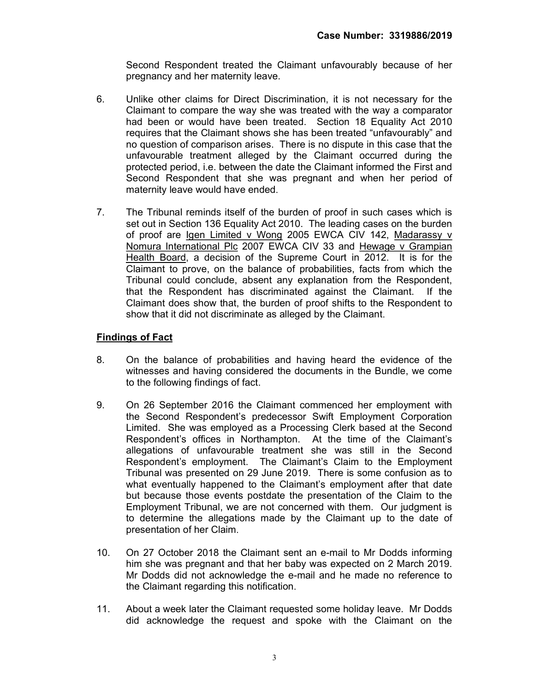Second Respondent treated the Claimant unfavourably because of her pregnancy and her maternity leave.

- 6. Unlike other claims for Direct Discrimination, it is not necessary for the Claimant to compare the way she was treated with the way a comparator had been or would have been treated. Section 18 Equality Act 2010 requires that the Claimant shows she has been treated "unfavourably" and no question of comparison arises. There is no dispute in this case that the unfavourable treatment alleged by the Claimant occurred during the protected period, i.e. between the date the Claimant informed the First and Second Respondent that she was pregnant and when her period of maternity leave would have ended.
- 7. The Tribunal reminds itself of the burden of proof in such cases which is set out in Section 136 Equality Act 2010. The leading cases on the burden of proof are lgen Limited v Wong 2005 EWCA CIV 142, Madarassy v Nomura International Plc 2007 EWCA CIV 33 and Hewage v Grampian Health Board, a decision of the Supreme Court in 2012. It is for the Claimant to prove, on the balance of probabilities, facts from which the Tribunal could conclude, absent any explanation from the Respondent, that the Respondent has discriminated against the Claimant. If the Claimant does show that, the burden of proof shifts to the Respondent to show that it did not discriminate as alleged by the Claimant.

### Findings of Fact

- 8. On the balance of probabilities and having heard the evidence of the witnesses and having considered the documents in the Bundle, we come to the following findings of fact.
- 9. On 26 September 2016 the Claimant commenced her employment with the Second Respondent's predecessor Swift Employment Corporation Limited. She was employed as a Processing Clerk based at the Second Respondent's offices in Northampton. At the time of the Claimant's allegations of unfavourable treatment she was still in the Second Respondent's employment. The Claimant's Claim to the Employment Tribunal was presented on 29 June 2019. There is some confusion as to what eventually happened to the Claimant's employment after that date but because those events postdate the presentation of the Claim to the Employment Tribunal, we are not concerned with them. Our judgment is to determine the allegations made by the Claimant up to the date of presentation of her Claim.
- 10. On 27 October 2018 the Claimant sent an e-mail to Mr Dodds informing him she was pregnant and that her baby was expected on 2 March 2019. Mr Dodds did not acknowledge the e-mail and he made no reference to the Claimant regarding this notification.
- 11. About a week later the Claimant requested some holiday leave. Mr Dodds did acknowledge the request and spoke with the Claimant on the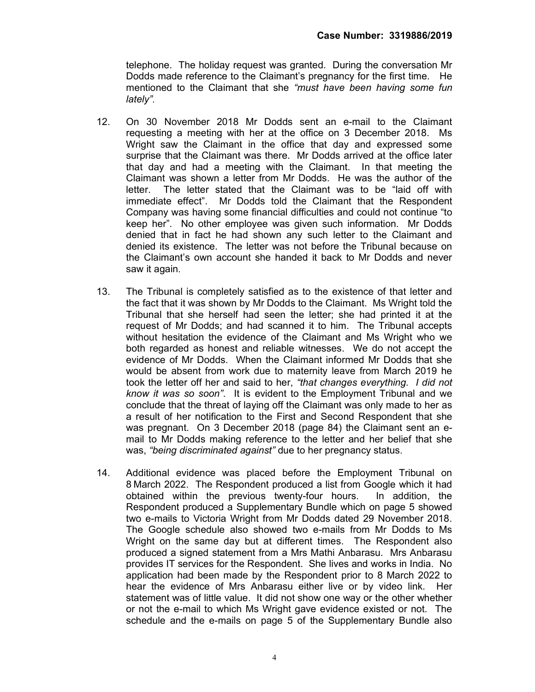telephone. The holiday request was granted. During the conversation Mr Dodds made reference to the Claimant's pregnancy for the first time. He mentioned to the Claimant that she "must have been having some fun lately".

- 12. On 30 November 2018 Mr Dodds sent an e-mail to the Claimant requesting a meeting with her at the office on 3 December 2018. Ms Wright saw the Claimant in the office that day and expressed some surprise that the Claimant was there. Mr Dodds arrived at the office later that day and had a meeting with the Claimant. In that meeting the Claimant was shown a letter from Mr Dodds. He was the author of the letter. The letter stated that the Claimant was to be "laid off with immediate effect". Mr Dodds told the Claimant that the Respondent Company was having some financial difficulties and could not continue "to keep her". No other employee was given such information. Mr Dodds denied that in fact he had shown any such letter to the Claimant and denied its existence. The letter was not before the Tribunal because on the Claimant's own account she handed it back to Mr Dodds and never saw it again.
- 13. The Tribunal is completely satisfied as to the existence of that letter and the fact that it was shown by Mr Dodds to the Claimant. Ms Wright told the Tribunal that she herself had seen the letter; she had printed it at the request of Mr Dodds; and had scanned it to him. The Tribunal accepts without hesitation the evidence of the Claimant and Ms Wright who we both regarded as honest and reliable witnesses. We do not accept the evidence of Mr Dodds. When the Claimant informed Mr Dodds that she would be absent from work due to maternity leave from March 2019 he took the letter off her and said to her, "that changes everything. I did not know it was so soon". It is evident to the Employment Tribunal and we conclude that the threat of laying off the Claimant was only made to her as a result of her notification to the First and Second Respondent that she was pregnant. On 3 December 2018 (page 84) the Claimant sent an email to Mr Dodds making reference to the letter and her belief that she was, "being discriminated against" due to her pregnancy status.
- 14. Additional evidence was placed before the Employment Tribunal on 8 March 2022. The Respondent produced a list from Google which it had obtained within the previous twenty-four hours. In addition, the Respondent produced a Supplementary Bundle which on page 5 showed two e-mails to Victoria Wright from Mr Dodds dated 29 November 2018. The Google schedule also showed two e-mails from Mr Dodds to Ms Wright on the same day but at different times. The Respondent also produced a signed statement from a Mrs Mathi Anbarasu. Mrs Anbarasu provides IT services for the Respondent. She lives and works in India. No application had been made by the Respondent prior to 8 March 2022 to hear the evidence of Mrs Anbarasu either live or by video link. Her statement was of little value. It did not show one way or the other whether or not the e-mail to which Ms Wright gave evidence existed or not. The schedule and the e-mails on page 5 of the Supplementary Bundle also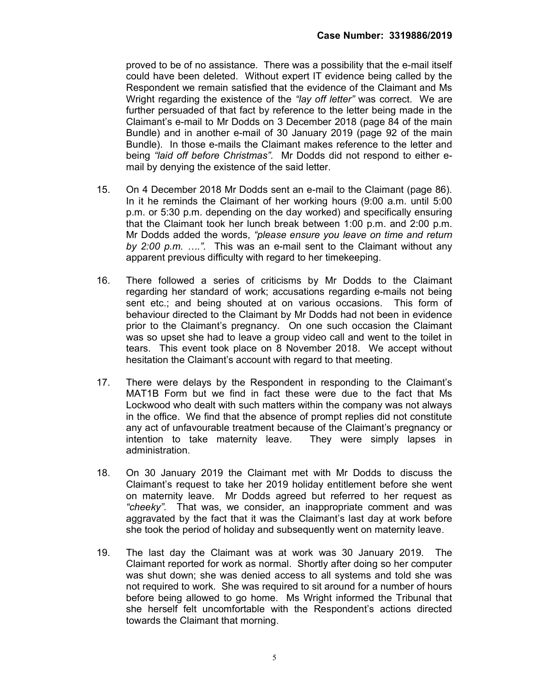proved to be of no assistance. There was a possibility that the e-mail itself could have been deleted. Without expert IT evidence being called by the Respondent we remain satisfied that the evidence of the Claimant and Ms Wright regarding the existence of the "lay off letter" was correct. We are further persuaded of that fact by reference to the letter being made in the Claimant's e-mail to Mr Dodds on 3 December 2018 (page 84 of the main Bundle) and in another e-mail of 30 January 2019 (page 92 of the main Bundle). In those e-mails the Claimant makes reference to the letter and being "laid off before Christmas". Mr Dodds did not respond to either email by denying the existence of the said letter.

- 15. On 4 December 2018 Mr Dodds sent an e-mail to the Claimant (page 86). In it he reminds the Claimant of her working hours (9:00 a.m. until 5:00 p.m. or 5:30 p.m. depending on the day worked) and specifically ensuring that the Claimant took her lunch break between 1:00 p.m. and 2:00 p.m. Mr Dodds added the words, "please ensure you leave on time and return by 2:00 p.m.  $\dots$ ". This was an e-mail sent to the Claimant without any apparent previous difficulty with regard to her timekeeping.
- 16. There followed a series of criticisms by Mr Dodds to the Claimant regarding her standard of work; accusations regarding e-mails not being sent etc.; and being shouted at on various occasions. This form of behaviour directed to the Claimant by Mr Dodds had not been in evidence prior to the Claimant's pregnancy. On one such occasion the Claimant was so upset she had to leave a group video call and went to the toilet in tears. This event took place on 8 November 2018. We accept without hesitation the Claimant's account with regard to that meeting.
- 17. There were delays by the Respondent in responding to the Claimant's MAT1B Form but we find in fact these were due to the fact that Ms Lockwood who dealt with such matters within the company was not always in the office. We find that the absence of prompt replies did not constitute any act of unfavourable treatment because of the Claimant's pregnancy or intention to take maternity leave. They were simply lapses in administration.
- 18. On 30 January 2019 the Claimant met with Mr Dodds to discuss the Claimant's request to take her 2019 holiday entitlement before she went on maternity leave. Mr Dodds agreed but referred to her request as "cheeky". That was, we consider, an inappropriate comment and was aggravated by the fact that it was the Claimant's last day at work before she took the period of holiday and subsequently went on maternity leave.
- 19. The last day the Claimant was at work was 30 January 2019. The Claimant reported for work as normal. Shortly after doing so her computer was shut down; she was denied access to all systems and told she was not required to work. She was required to sit around for a number of hours before being allowed to go home. Ms Wright informed the Tribunal that she herself felt uncomfortable with the Respondent's actions directed towards the Claimant that morning.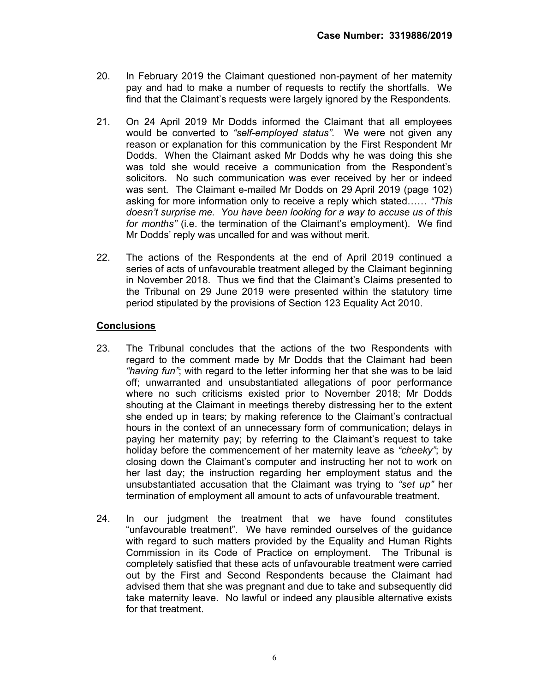- 20. In February 2019 the Claimant questioned non-payment of her maternity pay and had to make a number of requests to rectify the shortfalls. We find that the Claimant's requests were largely ignored by the Respondents.
- 21. On 24 April 2019 Mr Dodds informed the Claimant that all employees would be converted to "self-employed status". We were not given any reason or explanation for this communication by the First Respondent Mr Dodds. When the Claimant asked Mr Dodds why he was doing this she was told she would receive a communication from the Respondent's solicitors. No such communication was ever received by her or indeed was sent. The Claimant e-mailed Mr Dodds on 29 April 2019 (page 102) asking for more information only to receive a reply which stated…… "This doesn't surprise me. You have been looking for a way to accuse us of this for months" (i.e. the termination of the Claimant's employment). We find Mr Dodds' reply was uncalled for and was without merit.
- 22. The actions of the Respondents at the end of April 2019 continued a series of acts of unfavourable treatment alleged by the Claimant beginning in November 2018. Thus we find that the Claimant's Claims presented to the Tribunal on 29 June 2019 were presented within the statutory time period stipulated by the provisions of Section 123 Equality Act 2010.

#### **Conclusions**

- 23. The Tribunal concludes that the actions of the two Respondents with regard to the comment made by Mr Dodds that the Claimant had been "having fun"; with regard to the letter informing her that she was to be laid off; unwarranted and unsubstantiated allegations of poor performance where no such criticisms existed prior to November 2018; Mr Dodds shouting at the Claimant in meetings thereby distressing her to the extent she ended up in tears; by making reference to the Claimant's contractual hours in the context of an unnecessary form of communication; delays in paying her maternity pay; by referring to the Claimant's request to take holiday before the commencement of her maternity leave as "cheeky"; by closing down the Claimant's computer and instructing her not to work on her last day; the instruction regarding her employment status and the unsubstantiated accusation that the Claimant was trying to "set up" her termination of employment all amount to acts of unfavourable treatment.
- 24. In our judgment the treatment that we have found constitutes "unfavourable treatment". We have reminded ourselves of the guidance with regard to such matters provided by the Equality and Human Rights Commission in its Code of Practice on employment. The Tribunal is completely satisfied that these acts of unfavourable treatment were carried out by the First and Second Respondents because the Claimant had advised them that she was pregnant and due to take and subsequently did take maternity leave. No lawful or indeed any plausible alternative exists for that treatment.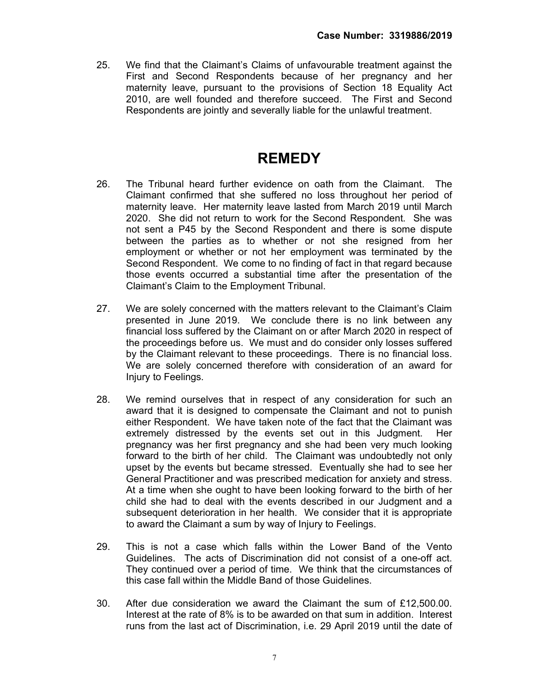25. We find that the Claimant's Claims of unfavourable treatment against the First and Second Respondents because of her pregnancy and her maternity leave, pursuant to the provisions of Section 18 Equality Act 2010, are well founded and therefore succeed. The First and Second Respondents are jointly and severally liable for the unlawful treatment.

## **REMEDY**

- 26. The Tribunal heard further evidence on oath from the Claimant. The Claimant confirmed that she suffered no loss throughout her period of maternity leave. Her maternity leave lasted from March 2019 until March 2020. She did not return to work for the Second Respondent. She was not sent a P45 by the Second Respondent and there is some dispute between the parties as to whether or not she resigned from her employment or whether or not her employment was terminated by the Second Respondent. We come to no finding of fact in that regard because those events occurred a substantial time after the presentation of the Claimant's Claim to the Employment Tribunal.
- 27. We are solely concerned with the matters relevant to the Claimant's Claim presented in June 2019. We conclude there is no link between any financial loss suffered by the Claimant on or after March 2020 in respect of the proceedings before us. We must and do consider only losses suffered by the Claimant relevant to these proceedings. There is no financial loss. We are solely concerned therefore with consideration of an award for Injury to Feelings.
- 28. We remind ourselves that in respect of any consideration for such an award that it is designed to compensate the Claimant and not to punish either Respondent. We have taken note of the fact that the Claimant was extremely distressed by the events set out in this Judgment. Her pregnancy was her first pregnancy and she had been very much looking forward to the birth of her child. The Claimant was undoubtedly not only upset by the events but became stressed. Eventually she had to see her General Practitioner and was prescribed medication for anxiety and stress. At a time when she ought to have been looking forward to the birth of her child she had to deal with the events described in our Judgment and a subsequent deterioration in her health. We consider that it is appropriate to award the Claimant a sum by way of Injury to Feelings.
- 29. This is not a case which falls within the Lower Band of the Vento Guidelines. The acts of Discrimination did not consist of a one-off act. They continued over a period of time. We think that the circumstances of this case fall within the Middle Band of those Guidelines.
- 30. After due consideration we award the Claimant the sum of £12,500.00. Interest at the rate of 8% is to be awarded on that sum in addition. Interest runs from the last act of Discrimination, i.e. 29 April 2019 until the date of